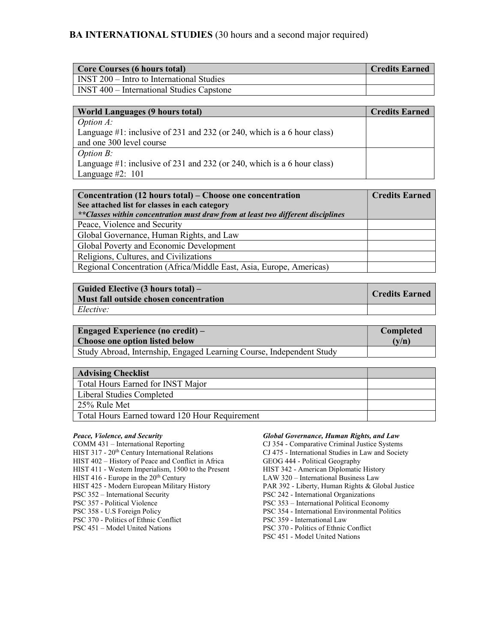# BA INTERNATIONAL STUDIES (30 hours and a second major required)

| <b>Core Courses (6 hours total)</b>              | Credits Earned |
|--------------------------------------------------|----------------|
| <b>INST 200 – Intro to International Studies</b> |                |
| <b>INST 400 – International Studies Capstone</b> |                |

| <b>World Languages (9 hours total)</b>                                      | <b>Credits Earned</b> |
|-----------------------------------------------------------------------------|-----------------------|
| <i>Option A:</i>                                                            |                       |
| Language $\#1$ : inclusive of 231 and 232 (or 240, which is a 6 hour class) |                       |
| and one 300 level course                                                    |                       |
| <i>Option B:</i>                                                            |                       |
| Language $\#1$ : inclusive of 231 and 232 (or 240, which is a 6 hour class) |                       |
| Language #2: $101$                                                          |                       |

| Concentration (12 hours total) – Choose one concentration                         | <b>Credits Earned</b> |
|-----------------------------------------------------------------------------------|-----------------------|
| See attached list for classes in each category                                    |                       |
| ** Classes within concentration must draw from at least two different disciplines |                       |
| Peace, Violence and Security                                                      |                       |
| Global Governance, Human Rights, and Law                                          |                       |
| Global Poverty and Economic Development                                           |                       |
| Religions, Cultures, and Civilizations                                            |                       |
| Regional Concentration (Africa/Middle East, Asia, Europe, Americas)               |                       |

| Guided Elective (3 hours total) –<br>Must fall outside chosen concentration | Credits Earned |
|-----------------------------------------------------------------------------|----------------|
| Elective:                                                                   |                |

| Engaged Experience (no credit) $-$                                   | <b>Completed</b> |
|----------------------------------------------------------------------|------------------|
| <b>Choose one option listed below</b>                                | (v/n)            |
| Study Abroad, Internship, Engaged Learning Course, Independent Study |                  |

| <b>Advising Checklist</b>                      |  |
|------------------------------------------------|--|
| Total Hours Earned for INST Major              |  |
| Liberal Studies Completed                      |  |
| 25% Rule Met                                   |  |
| Total Hours Earned toward 120 Hour Requirement |  |

# Peace, Violence, and Security

COMM 431 – International Reporting HIST 317 - 20<sup>th</sup> Century International Relations HIST 402 – History of Peace and Conflict in Africa HIST 411 - Western Imperialism, 1500 to the Present HIST 416 - Europe in the 20<sup>th</sup> Century HIST 425 - Modern European Military History PSC 352 – International Security PSC 357 - Political Violence PSC 358 - U.S Foreign Policy PSC 370 - Politics of Ethnic Conflict PSC 451 – Model United Nations

# Global Governance, Human Rights, and Law

CJ 354 - Comparative Criminal Justice Systems CJ 475 - International Studies in Law and Society GEOG 444 - Political Geography HIST 342 - American Diplomatic History LAW 320 – International Business Law PAR 392 - Liberty, Human Rights & Global Justice PSC 242 - International Organizations PSC 353 – International Political Economy PSC 354 - International Environmental Politics PSC 359 - International Law PSC 370 - Politics of Ethnic Conflict PSC 451 - Model United Nations